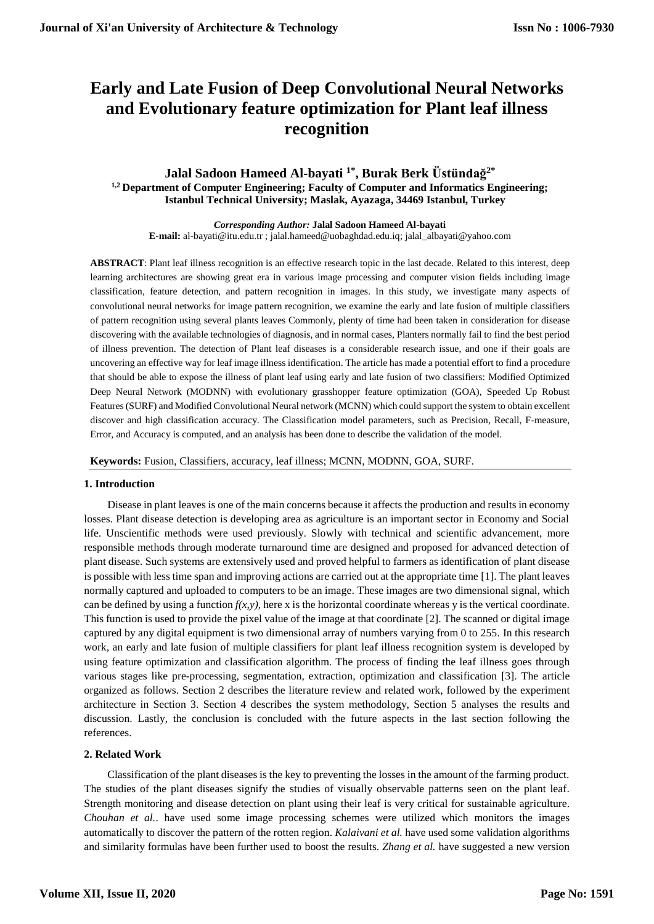# **Early and Late Fusion of Deep Convolutional Neural Networks and Evolutionary feature optimization for Plant leaf illness recognition**

# **Jalal Sadoon Hameed Al-bayati 1\*, Burak Berk Üstündağ2\* 1,2 Department of Computer Engineering; Faculty of Computer and Informatics Engineering; Istanbul Technical University; Maslak, Ayazaga, 34469 Istanbul, Turkey**

*Corresponding Author:* **Jalal Sadoon Hameed Al-bayati E-mail:** al-bayati@itu.edu.tr ; jalal.hameed@uobaghdad.edu.iq; jalal\_albayati@yahoo.com

**ABSTRACT**: Plant leaf illness recognition is an effective research topic in the last decade. Related to this interest, deep learning architectures are showing great era in various image processing and computer vision fields including image classification, feature detection, and pattern recognition in images. In this study, we investigate many aspects of convolutional neural networks for image pattern recognition, we examine the early and late fusion of multiple classifiers of pattern recognition using several plants leaves Commonly, plenty of time had been taken in consideration for disease discovering with the available technologies of diagnosis, and in normal cases, Planters normally fail to find the best period of illness prevention. The detection of Plant leaf diseases is a considerable research issue, and one if their goals are uncovering an effective way for leaf image illness identification. The article has made a potential effort to find a procedure that should be able to expose the illness of plant leaf using early and late fusion of two classifiers: Modified Optimized Deep Neural Network (MODNN) with evolutionary grasshopper feature optimization (GOA), Speeded Up Robust Features (SURF) and Modified Convolutional Neural network (MCNN) which could support the system to obtain excellent discover and high classification accuracy. The Classification model parameters, such as Precision, Recall, F-measure, Error, and Accuracy is computed, and an analysis has been done to describe the validation of the model.

**Keywords:** Fusion, Classifiers, accuracy, leaf illness; MCNN, MODNN, GOA, SURF.

## **1. Introduction**

Disease in plant leaves is one of the main concerns because it affects the production and results in economy losses. Plant disease detection is developing area as agriculture is an important sector in Economy and Social life. Unscientific methods were used previously. Slowly with technical and scientific advancement, more responsible methods through moderate turnaround time are designed and proposed for advanced detection of plant disease. Such systems are extensively used and proved helpful to farmers as identification of plant disease is possible with less time span and improving actions are carried out at the appropriate time [1]. The plant leaves normally captured and uploaded to computers to be an image. These images are two dimensional signal, which can be defined by using a function  $f(x, y)$ , here x is the horizontal coordinate whereas y is the vertical coordinate. This function is used to provide the pixel value of the image at that coordinate [2]. The scanned or digital image captured by any digital equipment is two dimensional array of numbers varying from 0 to 255. In this research work, an early and late fusion of multiple classifiers for plant leaf illness recognition system is developed by using feature optimization and classification algorithm. The process of finding the leaf illness goes through various stages like pre-processing, segmentation, extraction, optimization and classification [3]. The article organized as follows. Section 2 describes the literature review and related work, followed by the experiment architecture in Section 3. Section 4 describes the system methodology, Section 5 analyses the results and discussion. Lastly, the conclusion is concluded with the future aspects in the last section following the references.

# **2. Related Work**

Classification of the plant diseases is the key to preventing the losses in the amount of the farming product. The studies of the plant diseases signify the studies of visually observable patterns seen on the plant leaf. Strength monitoring and disease detection on plant using their leaf is very critical for sustainable agriculture. *Chouhan et al.*. have used some image processing schemes were utilized which monitors the images automatically to discover the pattern of the rotten region. *Kalaivani et al.* have used some validation algorithms and similarity formulas have been further used to boost the results. *Zhang et al.* have suggested a new version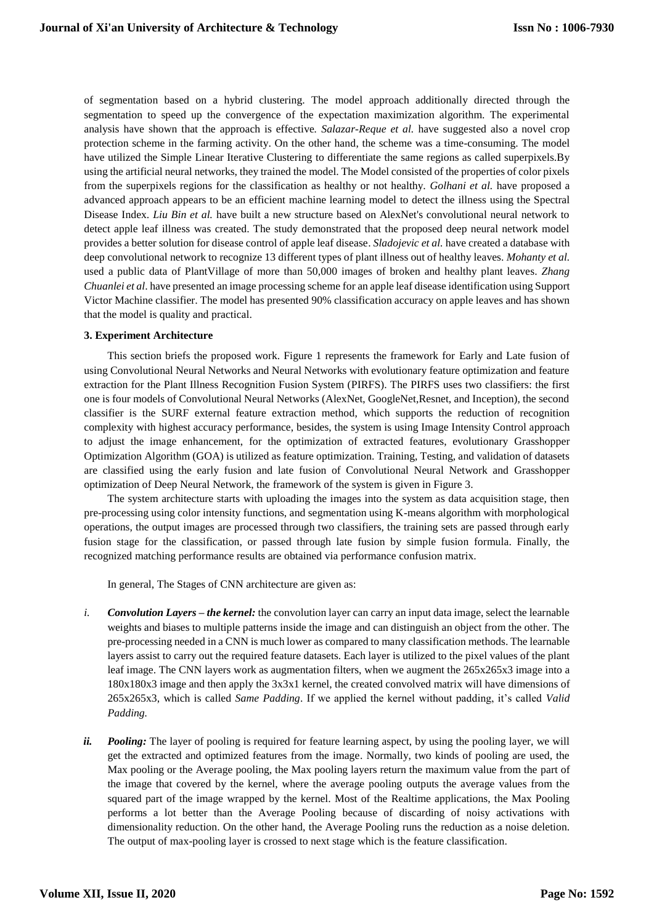of segmentation based on a hybrid clustering. The model approach additionally directed through the segmentation to speed up the convergence of the expectation maximization algorithm. The experimental analysis have shown that the approach is effective*. Salazar-Reque et al.* have suggested also a novel crop protection scheme in the farming activity. On the other hand, the scheme was a time-consuming. The model have utilized the Simple Linear Iterative Clustering to differentiate the same regions as called superpixels.By using the artificial neural networks, they trained the model. The Model consisted of the properties of color pixels from the superpixels regions for the classification as healthy or not healthy. *Golhani et al.* have proposed a advanced approach appears to be an efficient machine learning model to detect the illness using the Spectral Disease Index. *Liu Bin et al.* have built a new structure based on AlexNet's convolutional neural network to detect apple leaf illness was created. The study demonstrated that the proposed deep neural network model provides a better solution for disease control of apple leaf disease. *Sladojevic et al.* have created a database with deep convolutional network to recognize 13 different types of plant illness out of healthy leaves. *Mohanty et al.* used a public data of PlantVillage of more than 50,000 images of broken and healthy plant leaves. *Zhang Chuanlei et al*. have presented an image processing scheme for an apple leaf disease identification using Support Victor Machine classifier. The model has presented 90% classification accuracy on apple leaves and has shown that the model is quality and practical.

# **3. Experiment Architecture**

This section briefs the proposed work. Figure 1 represents the framework for Early and Late fusion of using Convolutional Neural Networks and Neural Networks with evolutionary feature optimization and feature extraction for the Plant Illness Recognition Fusion System (PIRFS). The PIRFS uses two classifiers: the first one is four models of Convolutional Neural Networks (AlexNet, GoogleNet,Resnet, and Inception), the second classifier is the SURF external feature extraction method, which supports the reduction of recognition complexity with highest accuracy performance, besides, the system is using Image Intensity Control approach to adjust the image enhancement, for the optimization of extracted features, evolutionary Grasshopper Optimization Algorithm (GOA) is utilized as feature optimization. Training, Testing, and validation of datasets are classified using the early fusion and late fusion of Convolutional Neural Network and Grasshopper optimization of Deep Neural Network, the framework of the system is given in Figure 3.

The system architecture starts with uploading the images into the system as data acquisition stage, then pre-processing using color intensity functions, and segmentation using K-means algorithm with morphological operations, the output images are processed through two classifiers, the training sets are passed through early fusion stage for the classification, or passed through late fusion by simple fusion formula. Finally, the recognized matching performance results are obtained via performance confusion matrix.

In general, The Stages of CNN architecture are given as:

- *i. Convolution Layers – the kernel:* the convolution layer can carry an input data image, select the learnable weights and biases to multiple patterns inside the image and can distinguish an object from the other. The pre-processing needed in a CNN is much lower as compared to many classification methods. The learnable layers assist to carry out the required feature datasets. Each layer is utilized to the pixel values of the plant leaf image. The CNN layers work as augmentation filters, when we augment the 265x265x3 image into a 180x180x3 image and then apply the 3x3x1 kernel, the created convolved matrix will have dimensions of 265x265x3, which is called *Same Padding*. If we applied the kernel without padding, it's called *Valid Padding.*
- *ii. Pooling:* The layer of pooling is required for feature learning aspect, by using the pooling layer, we will get the extracted and optimized features from the image. Normally, two kinds of pooling are used, the Max pooling or the Average pooling, the Max pooling layers return the maximum value from the part of the image that covered by the kernel, where the average pooling outputs the average values from the squared part of the image wrapped by the kernel. Most of the Realtime applications, the Max Pooling performs a lot better than the Average Pooling because of discarding of noisy activations with dimensionality reduction. On the other hand, the Average Pooling runs the reduction as a noise deletion. The output of max-pooling layer is crossed to next stage which is the feature classification.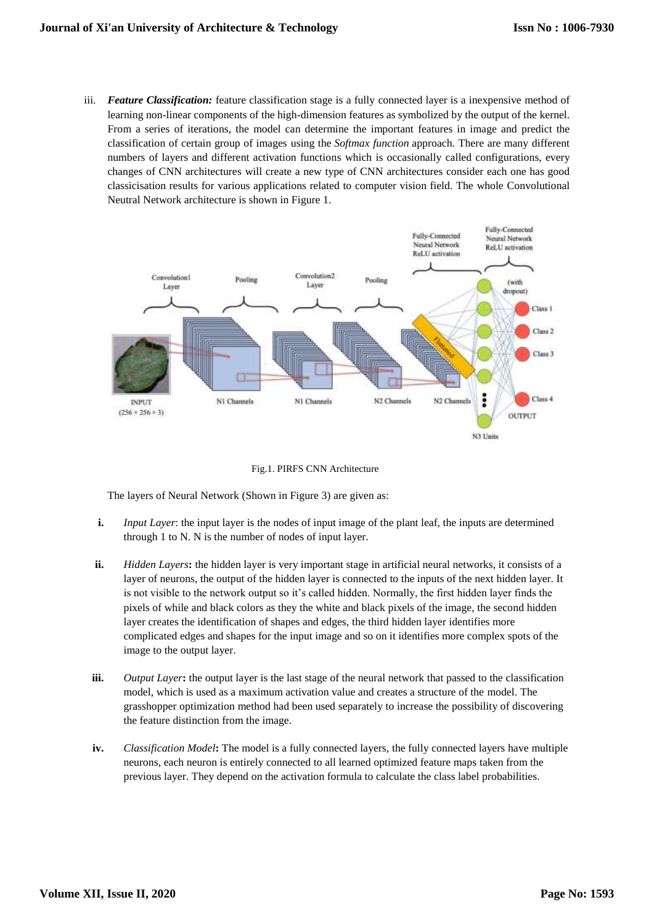iii. *Feature Classification:* feature classification stage is a fully connected layer is a inexpensive method of learning non-linear components of the high-dimension features as symbolized by the output of the kernel. From a series of iterations, the model can determine the important features in image and predict the classification of certain group of images using the *Softmax function* approach. There are many different numbers of layers and different activation functions which is occasionally called configurations, every changes of CNN architectures will create a new type of CNN architectures consider each one has good classicisation results for various applications related to computer vision field. The whole Convolutional Neutral Network architecture is shown in Figure 1.



Fig.1. PIRFS CNN Architecture

The layers of Neural Network (Shown in Figure 3) are given as:

- **i.** *Input Layer*: the input layer is the nodes of input image of the plant leaf, the inputs are determined through 1 to N. N is the number of nodes of input layer.
- **ii.** *Hidden Layers***:** the hidden layer is very important stage in artificial neural networks, it consists of a layer of neurons, the output of the hidden layer is connected to the inputs of the next hidden layer. It is not visible to the network output so it's called hidden. Normally, the first hidden layer finds the pixels of while and black colors as they the white and black pixels of the image, the second hidden layer creates the identification of shapes and edges, the third hidden layer identifies more complicated edges and shapes for the input image and so on it identifies more complex spots of the image to the output layer.
- **iii.** *Output Layer***:** the output layer is the last stage of the neural network that passed to the classification model, which is used as a maximum activation value and creates a structure of the model. The grasshopper optimization method had been used separately to increase the possibility of discovering the feature distinction from the image.
- **iv.** *Classification Model***:** The model is a fully connected layers, the fully connected layers have multiple neurons, each neuron is entirely connected to all learned optimized feature maps taken from the previous layer. They depend on the activation formula to calculate the class label probabilities.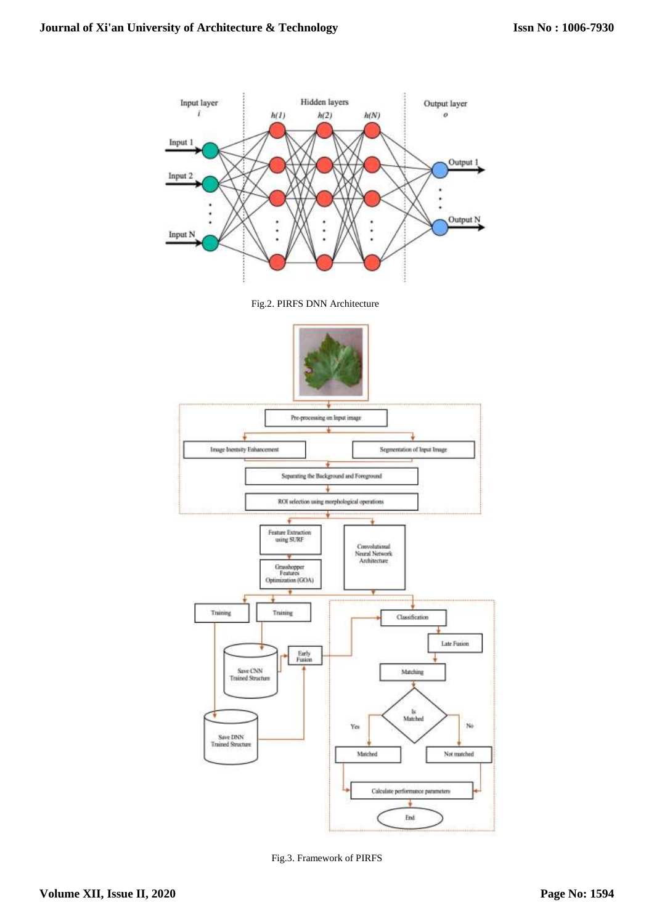

Fig.3. Framework of PIRFS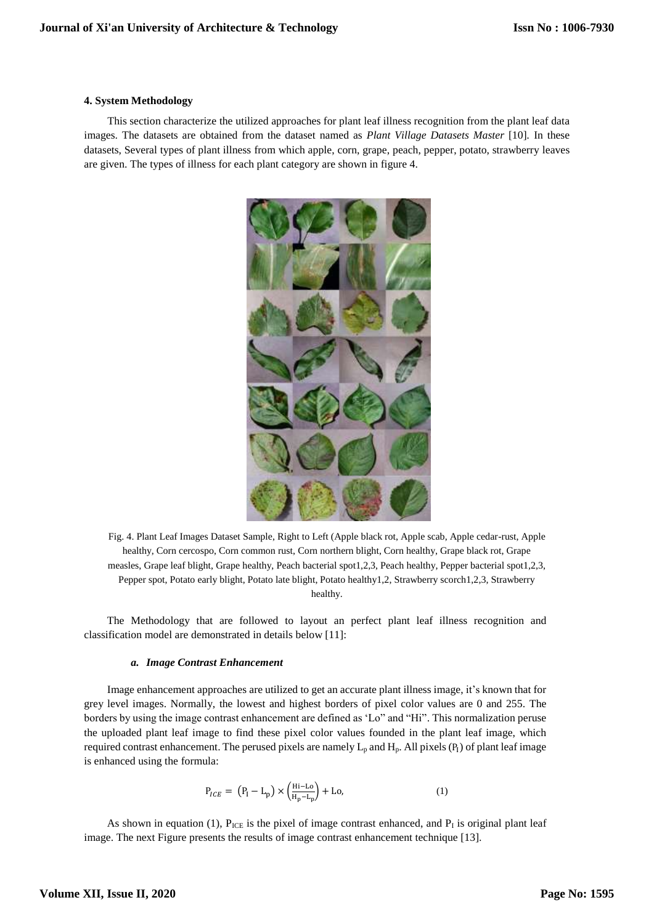## **4. System Methodology**

This section characterize the utilized approaches for plant leaf illness recognition from the plant leaf data images. The datasets are obtained from the dataset named as *Plant Village Datasets Master* [10]*.* In these datasets, Several types of plant illness from which apple, corn, grape, peach, pepper, potato, strawberry leaves are given. The types of illness for each plant category are shown in figure 4.



Fig. 4. Plant Leaf Images Dataset Sample, Right to Left (Apple black rot, Apple scab, Apple cedar-rust, Apple healthy, Corn cercospo, Corn common rust, Corn northern blight, Corn healthy, Grape black rot, Grape measles, Grape leaf blight, Grape healthy, Peach bacterial spot1,2,3, Peach healthy, Pepper bacterial spot1,2,3, Pepper spot, Potato early blight, Potato late blight, Potato healthy1,2, Strawberry scorch1,2,3, Strawberry healthy.

The Methodology that are followed to layout an perfect plant leaf illness recognition and classification model are demonstrated in details below [11]:

# *a. Image Contrast Enhancement*

Image enhancement approaches are utilized to get an accurate plant illness image, it's known that for grey level images. Normally, the lowest and highest borders of pixel color values are 0 and 255. The borders by using the image contrast enhancement are defined as 'Lo" and "Hi". This normalization peruse the uploaded plant leaf image to find these pixel color values founded in the plant leaf image, which required contrast enhancement. The perused pixels are namely  $L_p$  and  $H_p$ . All pixels  $(P_l)$  of plant leaf image is enhanced using the formula:

$$
P_{ICE} = (P_I - L_p) \times \left(\frac{Hi - Lo}{H_p - L_p}\right) + Lo,\tag{1}
$$

As shown in equation (1),  $P_{ICE}$  is the pixel of image contrast enhanced, and  $P<sub>I</sub>$  is original plant leaf image. The next Figure presents the results of image contrast enhancement technique [13].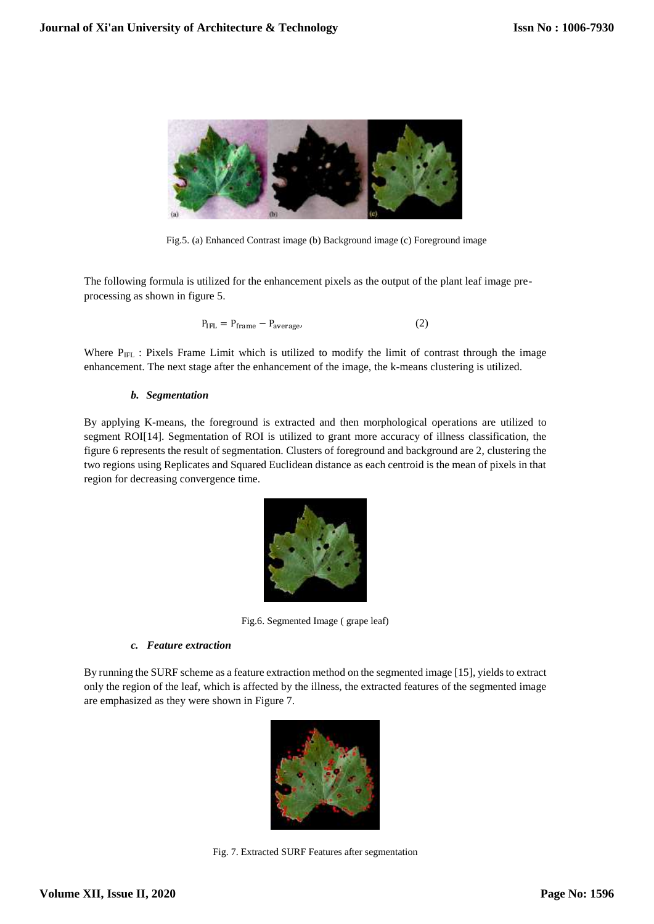

Fig.5. (a) Enhanced Contrast image (b) Background image (c) Foreground image

The following formula is utilized for the enhancement pixels as the output of the plant leaf image preprocessing as shown in figure 5.

$$
P_{\text{IFL}} = P_{\text{frame}} - P_{\text{average}} \tag{2}
$$

Where  $P_{IFL}$ : Pixels Frame Limit which is utilized to modify the limit of contrast through the image enhancement. The next stage after the enhancement of the image, the k-means clustering is utilized.

## *b. Segmentation*

By applying K-means, the foreground is extracted and then morphological operations are utilized to segment ROI[14]. Segmentation of ROI is utilized to grant more accuracy of illness classification, the figure 6 represents the result of segmentation. Clusters of foreground and background are 2, clustering the two regions using Replicates and Squared Euclidean distance as each centroid is the mean of pixels in that region for decreasing convergence time.



Fig.6. Segmented Image ( grape leaf)

# *c. Feature extraction*

By running the SURF scheme as a feature extraction method on the segmented image [15], yields to extract only the region of the leaf, which is affected by the illness, the extracted features of the segmented image are emphasized as they were shown in Figure 7.



Fig. 7. Extracted SURF Features after segmentation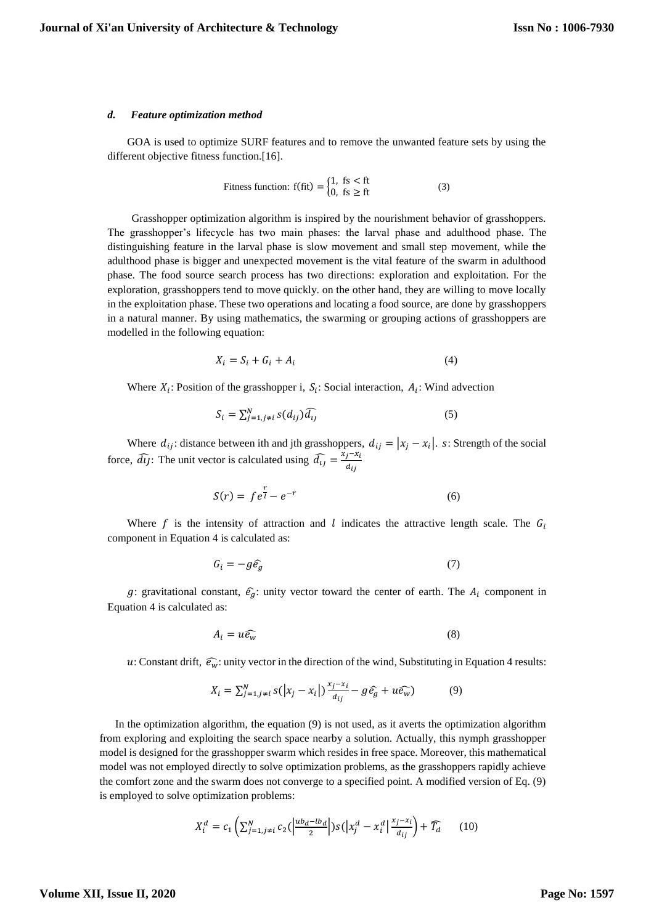#### *d. Feature optimization method*

GOA is used to optimize SURF features and to remove the unwanted feature sets by using the different objective fitness function.[16].

$$
\text{Fitness function: } f(\text{fit}) = \begin{cases} 1, & \text{fs} < \text{ft} \\ 0, & \text{fs} \ge \text{ft} \end{cases} \tag{3}
$$

Grasshopper optimization algorithm is inspired by the nourishment behavior of grasshoppers. The grasshopper's lifecycle has two main phases: the larval phase and adulthood phase. The distinguishing feature in the larval phase is slow movement and small step movement, while the adulthood phase is bigger and unexpected movement is the vital feature of the swarm in adulthood phase. The food source search process has two directions: exploration and exploitation. For the exploration, grasshoppers tend to move quickly. on the other hand, they are willing to move locally in the exploitation phase. These two operations and locating a food source, are done by grasshoppers in a natural manner. By using mathematics, the swarming or grouping actions of grasshoppers are modelled in the following equation:

$$
X_i = S_i + G_i + A_i \tag{4}
$$

Where  $X_i$ : Position of the grasshopper i,  $S_i$ : Social interaction,  $A_i$ : Wind advection

$$
S_i = \sum_{j=1, j \neq i}^{N} s(d_{ij}) \widehat{d_{ij}}
$$
 (5)

Where  $d_{ij}$ : distance between ith and jth grasshoppers,  $d_{ij} = |x_j - x_i|$ . s: Strength of the social force,  $\widehat{dy}$ : The unit vector is calculated using  $\widehat{d}_{ij} = \frac{x_j - x_i}{dx_i}$  $d_{ij}$ 

$$
S(r) = f e^{\frac{r}{l}} - e^{-r}
$$
 (6)

Where  $f$  is the intensity of attraction and  $l$  indicates the attractive length scale. The  $G_l$ component in Equation 4 is calculated as:

$$
G_i = -g\hat{e}_g \tag{7}
$$

g: gravitational constant,  $\hat{e}_g$ : unity vector toward the center of earth. The  $A_i$  component in Equation 4 is calculated as:

$$
A_i = u \widehat{e_w} \tag{8}
$$

u: Constant drift,  $\widehat{e_w}$ : unity vector in the direction of the wind, Substituting in Equation 4 results:

$$
X_i = \sum_{j=1, j \neq i}^{N} s(|x_j - x_i|) \frac{x_j - x_i}{d_{ij}} - g\hat{e}_g + u\hat{e}_w)
$$
(9)

In the optimization algorithm, the equation (9) is not used, as it averts the optimization algorithm from exploring and exploiting the search space nearby a solution. Actually, this nymph grasshopper model is designed for the grasshopper swarm which resides in free space. Moreover, this mathematical model was not employed directly to solve optimization problems, as the grasshoppers rapidly achieve the comfort zone and the swarm does not converge to a specified point. A modified version of Eq. (9) is employed to solve optimization problems:

$$
X_i^d = c_1 \left( \sum_{j=1, j \neq i}^N c_2 \left( \left| \frac{ub_d - lb_d}{2} \right| \right) s \left( \left| x_j^d - x_i^d \right| \frac{x_j - x_i}{d_{ij}} \right) + \widehat{T_d} \right) \tag{10}
$$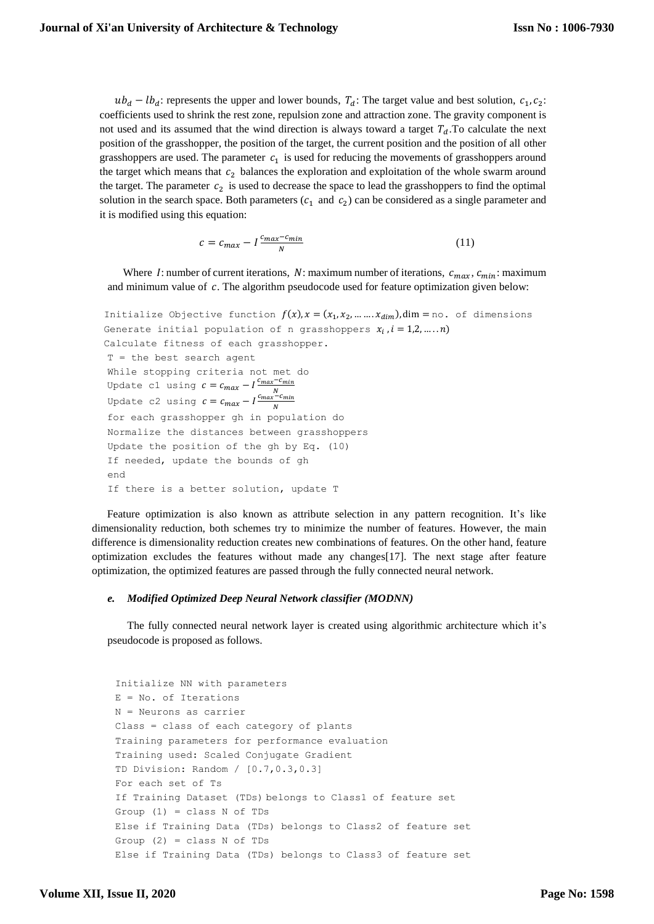$ub_d - lb_d$ : represents the upper and lower bounds,  $T_d$ : The target value and best solution,  $c_1, c_2$ : coefficients used to shrink the rest zone, repulsion zone and attraction zone. The gravity component is not used and its assumed that the wind direction is always toward a target  $T<sub>d</sub>$ . To calculate the next position of the grasshopper, the position of the target, the current position and the position of all other grasshoppers are used. The parameter  $c_1$  is used for reducing the movements of grasshoppers around the target which means that  $c_2$  balances the exploration and exploitation of the whole swarm around the target. The parameter  $c_2$  is used to decrease the space to lead the grasshoppers to find the optimal solution in the search space. Both parameters  $(c_1 \text{ and } c_2)$  can be considered as a single parameter and it is modified using this equation:

$$
c = c_{max} - l \frac{c_{max} - c_{min}}{N}
$$
 (11)

Where I: number of current iterations, N: maximum number of iterations,  $c_{max}$ ,  $c_{min}$ : maximum and minimum value of  $c$ . The algorithm pseudocode used for feature optimization given below:

```
Initialize Objective function f(x), x = (x_1, x_2, ..., x_{dim}), \dim = no. of dimensions
Generate initial population of n grasshoppers x_i,i = 1,2,...,n)
Calculate fitness of each grasshopper.
T = the best search agent
While stopping criteria not met do 
Update c1 using c = c_{max} - I \frac{c_{max} - c_{min}}{N}Update c2 using c = c_{max} - I \frac{c_{max} - c_{min}}{N}N
for each grasshopper gh in population do
Normalize the distances between grasshoppers 
Update the position of the gh by Eq. (10)
If needed, update the bounds of gh
end
If there is a better solution, update T
```
Feature optimization is also known as attribute selection in any pattern recognition. It's like dimensionality reduction, both schemes try to minimize the number of features. However, the main difference is dimensionality reduction creates new combinations of features. On the other hand, feature optimization excludes the features without made any changes[17]. The next stage after feature optimization, the optimized features are passed through the fully connected neural network.

## *e. Modified Optimized Deep Neural Network classifier (MODNN)*

The fully connected neural network layer is created using algorithmic architecture which it's pseudocode is proposed as follows.

```
Initialize NN with parameters
E = No. of Iterations
N = Neurons as carrier
Class = class of each category of plants
Training parameters for performance evaluation
Training used: Scaled Conjugate Gradient 
TD Division: Random / [0.7,0.3,0.3]
For each set of Ts
If Training Dataset (TDs) belongs to Class1 of feature set
Group (1) = class N of TDs
Else if Training Data (TDs) belongs to Class2 of feature set 
Group (2) = class N of TDs
Else if Training Data (TDs) belongs to Class3 of feature set
```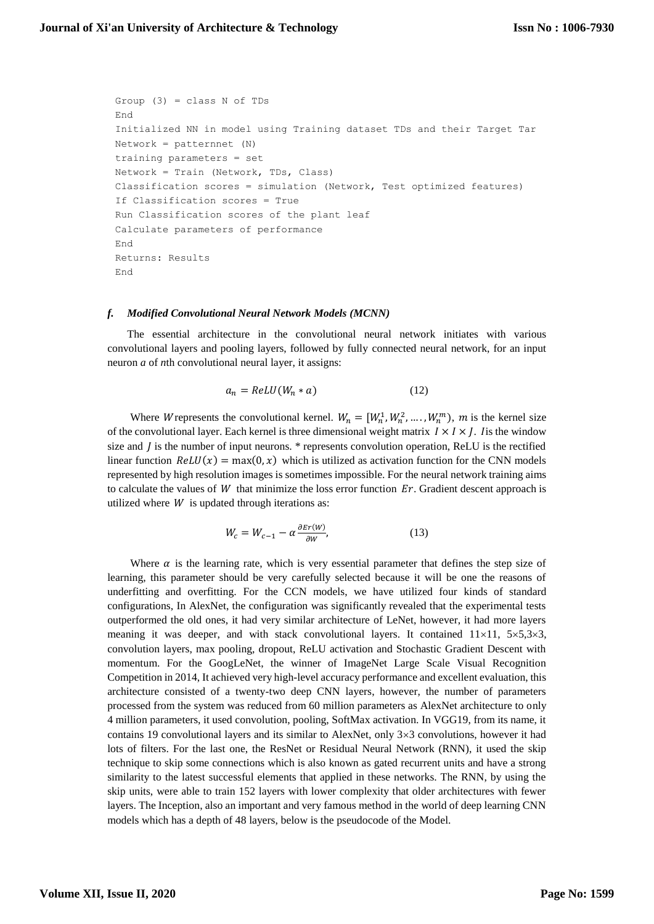```
Group (3) = class N of TDs
End 
Initialized NN in model using Training dataset TDs and their Target Tar
Network = patternnet (N)training parameters = set
Network = Train (Network, TDs, Class)
Classification scores = simulation (Network, Test optimized features)
If Classification scores = True
Run Classification scores of the plant leaf
Calculate parameters of performance
End 
Returns: Results
End
```
#### *f. Modified Convolutional Neural Network Models (MCNN)*

The essential architecture in the convolutional neural network initiates with various convolutional layers and pooling layers, followed by fully connected neural network, for an input neuron *a* of *n*th convolutional neural layer, it assigns:

$$
a_n = ReLU(W_n * a)
$$
 (12)

Where Wrepresents the convolutional kernel.  $W_n = [W_n^1, W_n^2, ..., W_n^m)$ , m is the kernel size of the convolutional layer. Each kernel is three dimensional weight matrix  $I \times I \times J$ . Is the window size and  $\tilde{I}$  is the number of input neurons. \* represents convolution operation, ReLU is the rectified linear function  $ReLU(x) = max(0, x)$  which is utilized as activation function for the CNN models represented by high resolution images is sometimes impossible. For the neural network training aims to calculate the values of W that minimize the loss error function  $Er$ . Gradient descent approach is utilized where  $W$  is updated through iterations as:

$$
W_c = W_{c-1} - \alpha \frac{\partial \text{E}_T(W)}{\partial W},\tag{13}
$$

Where  $\alpha$  is the learning rate, which is very essential parameter that defines the step size of learning, this parameter should be very carefully selected because it will be one the reasons of underfitting and overfitting. For the CCN models, we have utilized four kinds of standard configurations, In AlexNet, the configuration was significantly revealed that the experimental tests outperformed the old ones, it had very similar architecture of LeNet, however, it had more layers meaning it was deeper, and with stack convolutional layers. It contained  $11\times11$ ,  $5\times5,3\times3$ , convolution layers, max pooling, dropout, ReLU activation and Stochastic Gradient Descent with momentum. For the GoogLeNet, the winner of ImageNet Large Scale Visual Recognition Competition in 2014, It achieved very high-level accuracy performance and excellent evaluation, this architecture consisted of a twenty-two deep CNN layers, however, the number of parameters processed from the system was reduced from 60 million parameters as AlexNet architecture to only 4 million parameters, it used convolution, pooling, SoftMax activation. In VGG19, from its name, it contains 19 convolutional layers and its similar to AlexNet, only  $3\times3$  convolutions, however it had lots of filters. For the last one, the ResNet or Residual Neural Network (RNN), it used the skip technique to skip some connections which is also known as gated recurrent units and have a strong similarity to the latest successful elements that applied in these networks. The RNN, by using the skip units, were able to train 152 layers with lower complexity that older architectures with fewer layers. The Inception, also an important and very famous method in the world of deep learning CNN models which has a depth of 48 layers, below is the pseudocode of the Model.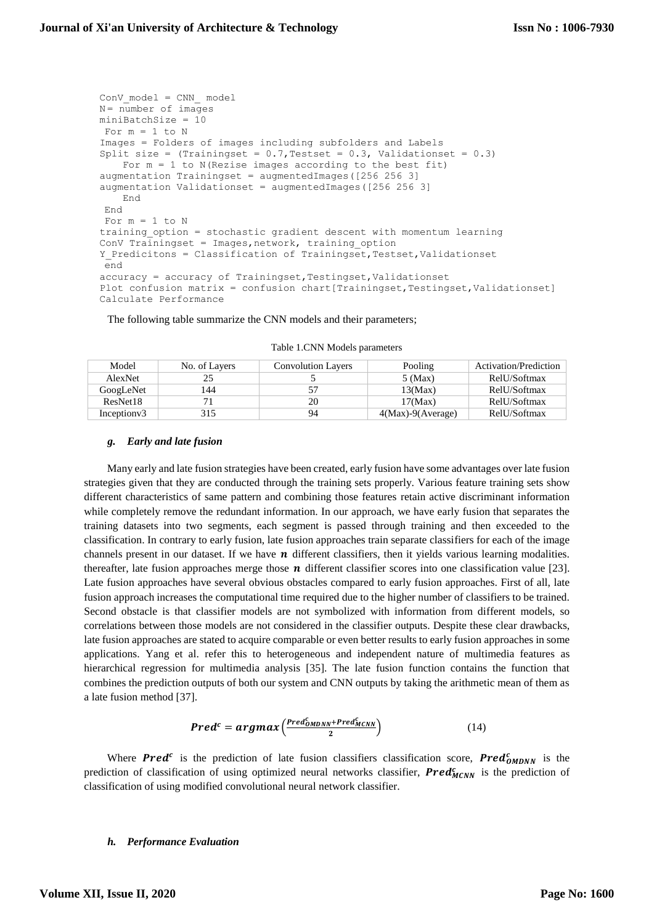```
ConV_model = CNN_ model
N = number of images
miniBatchSize = 10
For m = 1 to NImages = Folders of images including subfolders and Labels 
Split size = (Trainingset = 0.7, Testset = 0.3, Validationset = 0.3)For m = 1 to N(Rezise images according to the best fit)
augmentation Trainingset = augmentedImages([256 256 3]
augmentation Validationset = augmentedImages([256 256 3]
   End
End
For m = 1 to Ntraining_option = stochastic gradient descent with momentum learning
ConV Trainingset = Images, network, training option
Y Predicitons = Classification of Trainingset, Testset, Validationset
end
accuracy = accuracy of Trainingset, Testingset, Validationset
Plot confusion matrix = confusion chart[Trainingset,Testingset,Validationset]
Calculate Performance
```
The following table summarize the CNN models and their parameters;

| Model        | No. of Layers | <b>Convolution Layers</b> | Pooling             | Activation/Prediction |
|--------------|---------------|---------------------------|---------------------|-----------------------|
| AlexNet      |               |                           | $5$ (Max)           | RelU/Softmax          |
| GoogLeNet    | 144           |                           | 13(Max)             | RelU/Softmax          |
| ResNet18     |               | 20                        | 17(Max)             | RelU/Softmax          |
| Inception v3 | 315           | 94                        | $4(Max)-9(Average)$ | RelU/Softmax          |

Table 1.CNN Models parameters

### *g. Early and late fusion*

Many early and late fusion strategies have been created, early fusion have some advantages over late fusion strategies given that they are conducted through the training sets properly. Various feature training sets show different characteristics of same pattern and combining those features retain active discriminant information while completely remove the redundant information. In our approach, we have early fusion that separates the training datasets into two segments, each segment is passed through training and then exceeded to the classification. In contrary to early fusion, late fusion approaches train separate classifiers for each of the image channels present in our dataset. If we have  $\boldsymbol{n}$  different classifiers, then it yields various learning modalities. thereafter, late fusion approaches merge those  $\boldsymbol{n}$  different classifier scores into one classification value [23]. Late fusion approaches have several obvious obstacles compared to early fusion approaches. First of all, late fusion approach increases the computational time required due to the higher number of classifiers to be trained. Second obstacle is that classifier models are not symbolized with information from different models, so correlations between those models are not considered in the classifier outputs. Despite these clear drawbacks, late fusion approaches are stated to acquire comparable or even better results to early fusion approaches in some applications. Yang et al. refer this to heterogeneous and independent nature of multimedia features as hierarchical regression for multimedia analysis [35]. The late fusion function contains the function that combines the prediction outputs of both our system and CNN outputs by taking the arithmetic mean of them as a late fusion method [37].

$$
Predc = argmax\left(\frac{PredcODNN + PredcMCNN}{2}\right)
$$
 (14)

Where **Pred<sup>c</sup>** is the prediction of late fusion classifiers classification score, **Pred**<sup>c</sup><sub>OMDNN</sub> is the prediction of classification of using optimized neural networks classifier,  $Pred_{MCNN}^c$  is the prediction of classification of using modified convolutional neural network classifier.

## *h. Performance Evaluation*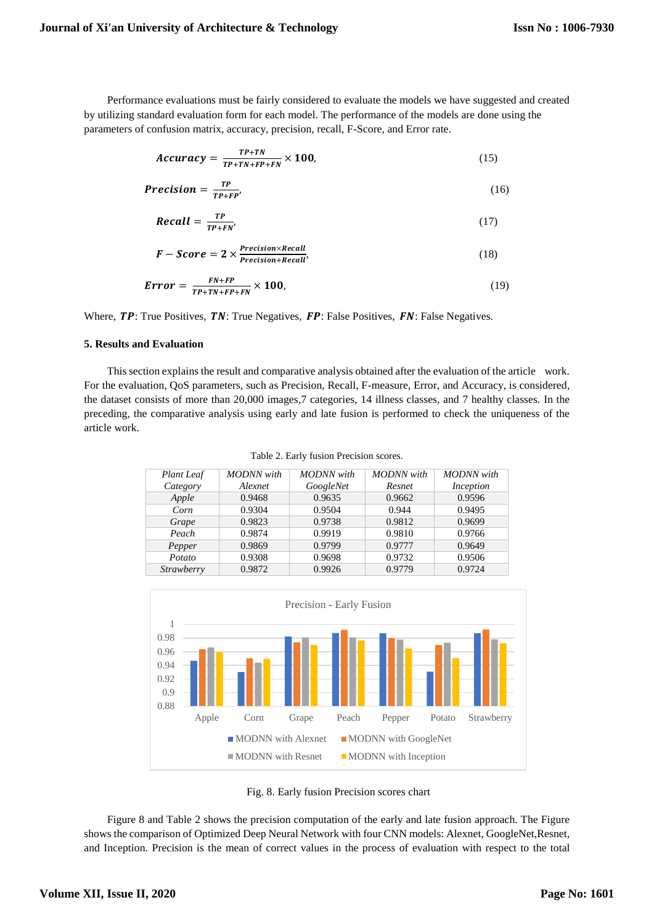Performance evaluations must be fairly considered to evaluate the models we have suggested and created by utilizing standard evaluation form for each model. The performance of the models are done using the parameters of confusion matrix, accuracy, precision, recall, F-Score, and Error rate.

$$
Accuracy = \frac{TP + TN}{TP + TN + FP + FN} \times 100, \tag{15}
$$

$$
Precision = \frac{TP}{TP + FP'}\tag{16}
$$

$$
Recall = \frac{TP}{TP + FN'} \tag{17}
$$

$$
F-Score = 2 \times \frac{Precision \times Recall}{Precision + Recall},
$$
 (18)

$$
Error = \frac{FN + FP}{TP + TN + FP + FN} \times 100,
$$
\n(19)

Where,  $TP$ : True Positives,  $TN$ : True Negatives,  $FP$ : False Positives,  $FN$ : False Negatives.

# **5. Results and Evaluation**

This section explains the result and comparative analysis obtained after the evaluation of the article work. For the evaluation, QoS parameters, such as Precision, Recall, F-measure, Error, and Accuracy, is considered, the dataset consists of more than 20,000 images,7 categories, 14 illness classes, and 7 healthy classes. In the preceding, the comparative analysis using early and late fusion is performed to check the uniqueness of the article work.

Table 2. Early fusion Precision scores.

| Plant Leaf | <b>MODNN</b> with | <b>MODNN</b> with | <b>MODNN</b> with | <b>MODNN</b> with |
|------------|-------------------|-------------------|-------------------|-------------------|
| Category   | Alexnet           | GoogleNet         | Resnet            | Inception         |
| Apple      | 0.9468            | 0.9635            | 0.9662            | 0.9596            |
| Corn       | 0.9304            | 0.9504            | 0.944             | 0.9495            |
| Grape      | 0.9823            | 0.9738            | 0.9812            | 0.9699            |
| Peach      | 0.9874            | 0.9919            | 0.9810            | 0.9766            |
| Pepper     | 0.9869            | 0.9799            | 0.9777            | 0.9649            |
| Potato     | 0.9308            | 0.9698            | 0.9732            | 0.9506            |
| Strawberry | 0.9872            | 0.9926            | 0.9779            | 0.9724            |



Fig. 8. Early fusion Precision scores chart

Figure 8 and Table 2 shows the precision computation of the early and late fusion approach. The Figure shows the comparison of Optimized Deep Neural Network with four CNN models: Alexnet, GoogleNet,Resnet, and Inception. Precision is the mean of correct values in the process of evaluation with respect to the total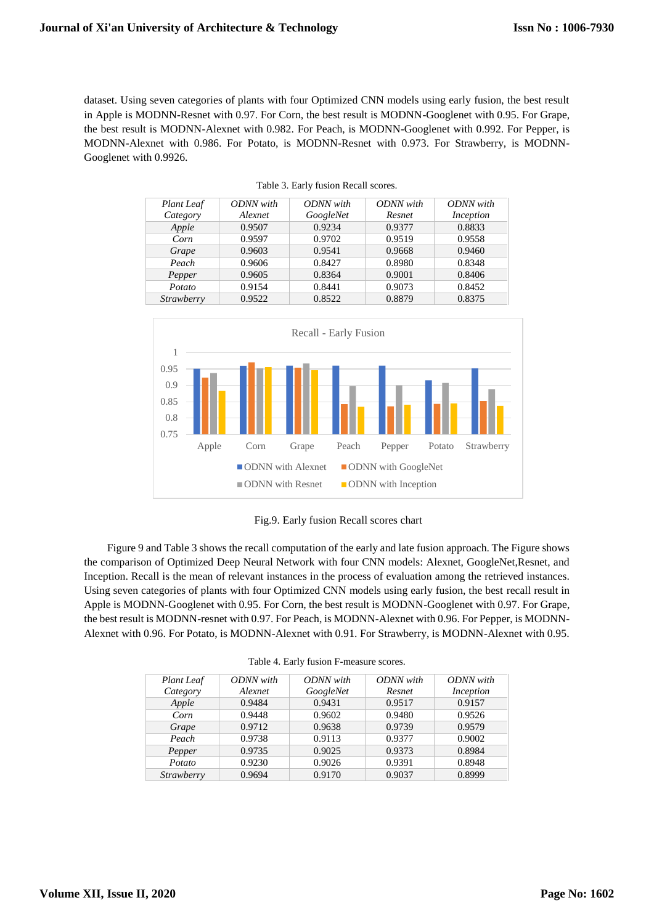dataset. Using seven categories of plants with four Optimized CNN models using early fusion, the best result in Apple is MODNN-Resnet with 0.97. For Corn, the best result is MODNN-Googlenet with 0.95. For Grape, the best result is MODNN-Alexnet with 0.982. For Peach, is MODNN-Googlenet with 0.992. For Pepper, is MODNN-Alexnet with 0.986. For Potato, is MODNN-Resnet with 0.973. For Strawberry, is MODNN-Googlenet with 0.9926.

| <b>Plant</b> Leaf | ODNN with | ODNN with | ODNN with | ODNN with |
|-------------------|-----------|-----------|-----------|-----------|
| Category          | Alexnet   | GoogleNet | Resnet    | Inception |
| Apple             | 0.9507    | 0.9234    | 0.9377    | 0.8833    |
| Corn              | 0.9597    | 0.9702    | 0.9519    | 0.9558    |
| Grape             | 0.9603    | 0.9541    | 0.9668    | 0.9460    |
| Peach             | 0.9606    | 0.8427    | 0.8980    | 0.8348    |
| Pepper            | 0.9605    | 0.8364    | 0.9001    | 0.8406    |
| Potato            | 0.9154    | 0.8441    | 0.9073    | 0.8452    |
| Strawberry        | 0.9522    | 0.8522    | 0.8879    | 0.8375    |

| Table 3. Early fusion Recall scores. |  |  |  |  |
|--------------------------------------|--|--|--|--|
|--------------------------------------|--|--|--|--|



Fig.9. Early fusion Recall scores chart

Figure 9 and Table 3 shows the recall computation of the early and late fusion approach. The Figure shows the comparison of Optimized Deep Neural Network with four CNN models: Alexnet, GoogleNet,Resnet, and Inception. Recall is the mean of relevant instances in the process of evaluation among the retrieved instances. Using seven categories of plants with four Optimized CNN models using early fusion, the best recall result in Apple is MODNN-Googlenet with 0.95. For Corn, the best result is MODNN-Googlenet with 0.97. For Grape, the best result is MODNN-resnet with 0.97. For Peach, is MODNN-Alexnet with 0.96. For Pepper, is MODNN-Alexnet with 0.96. For Potato, is MODNN-Alexnet with 0.91. For Strawberry, is MODNN-Alexnet with 0.95.

| Plant Leaf | ODNN with | ODNN with | ODNN with | ODNN with |
|------------|-----------|-----------|-----------|-----------|
| Category   | Alexnet   | GoogleNet | Resnet    | Inception |
| Apple      | 0.9484    | 0.9431    | 0.9517    | 0.9157    |
| Corn       | 0.9448    | 0.9602    | 0.9480    | 0.9526    |
| Grape      | 0.9712    | 0.9638    | 0.9739    | 0.9579    |
| Peach      | 0.9738    | 0.9113    | 0.9377    | 0.9002    |
| Pepper     | 0.9735    | 0.9025    | 0.9373    | 0.8984    |
| Potato     | 0.9230    | 0.9026    | 0.9391    | 0.8948    |
| Strawberry | 0.9694    | 0.9170    | 0.9037    | 0.8999    |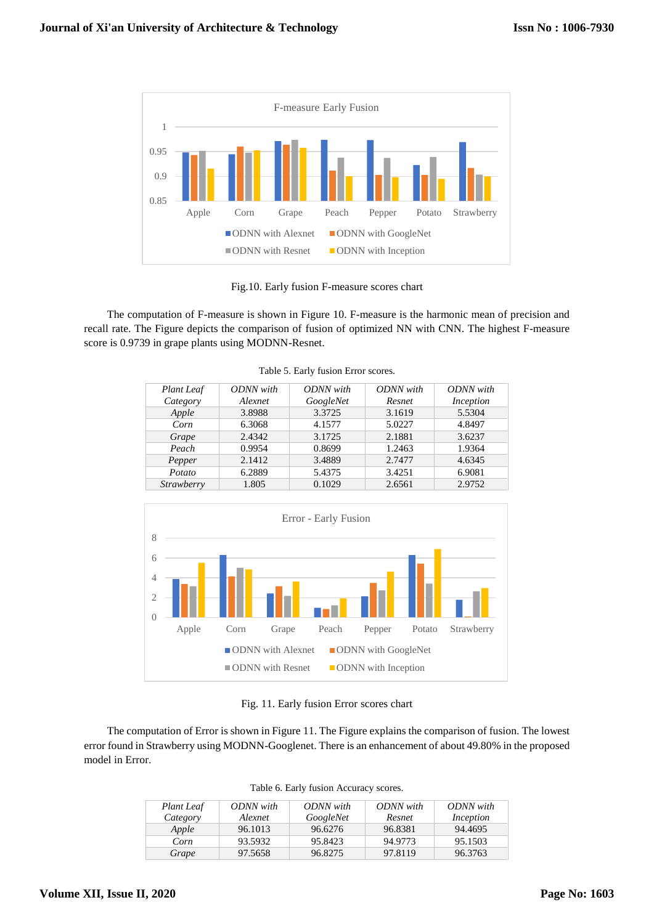

Fig.10. Early fusion F-measure scores chart

The computation of F-measure is shown in Figure 10. F-measure is the harmonic mean of precision and recall rate. The Figure depicts the comparison of fusion of optimized NN with CNN. The highest F-measure score is 0.9739 in grape plants using MODNN-Resnet.

| <b>Plant</b> Leaf | ODNN with | ODNN with | ODNN with | ODNN with |
|-------------------|-----------|-----------|-----------|-----------|
| Category          | Alexnet   | GoogleNet | Resnet    | Inception |
| Apple             | 3.8988    | 3.3725    | 3.1619    | 5.5304    |
| Corn              | 6.3068    | 4.1577    | 5.0227    | 4.8497    |
| Grape             | 2.4342    | 3.1725    | 2.1881    | 3.6237    |
| Peach             | 0.9954    | 0.8699    | 1.2463    | 1.9364    |
| Pepper            | 2.1412    | 3.4889    | 2.7477    | 4.6345    |
| Potato            | 6.2889    | 5.4375    | 3.4251    | 6.9081    |
| Strawberry        | 1.805     | 0.1029    | 2.6561    | 2.9752    |

Table 5. Early fusion Error scores.



Fig. 11. Early fusion Error scores chart

The computation of Error is shown in Figure 11. The Figure explains the comparison of fusion. The lowest error found in Strawberry using MODNN-Googlenet. There is an enhancement of about 49.80% in the proposed model in Error.

| Plant Leaf<br>Category | ODNN with<br>Alexnet | ODNN with<br>GoogleNet | ODNN with<br>Resnet | ODNN with<br>Inception |
|------------------------|----------------------|------------------------|---------------------|------------------------|
| Apple                  | 96.1013              | 96.6276                | 96.8381             | 94.4695                |
| Corn                   | 93.5932              | 95.8423                | 94.9773             | 95.1503                |
| Grape                  | 97.5658              | 96.8275                | 97.8119             | 96.3763                |

|  | Table 6. Early fusion Accuracy scores. |  |
|--|----------------------------------------|--|
|  |                                        |  |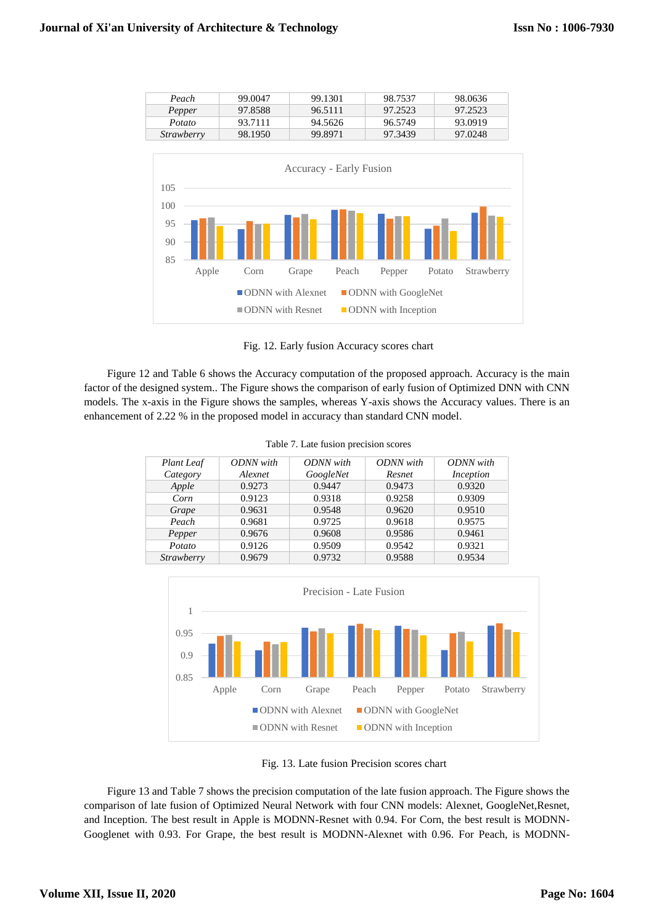| Peach             | 99,0047 | 99.1301 | 98.7537 | 98.0636 |
|-------------------|---------|---------|---------|---------|
| Pepper            | 97.8588 | 96.5111 | 97.2523 | 97.2523 |
| Potato            | 93.7111 | 94.5626 | 96.5749 | 93.0919 |
| <i>Strawberry</i> | 98.1950 | 99.8971 | 97.3439 | 97.0248 |



Fig. 12. Early fusion Accuracy scores chart

Figure 12 and Table 6 shows the Accuracy computation of the proposed approach. Accuracy is the main factor of the designed system.. The Figure shows the comparison of early fusion of Optimized DNN with CNN models. The x-axis in the Figure shows the samples, whereas Y-axis shows the Accuracy values. There is an enhancement of 2.22 % in the proposed model in accuracy than standard CNN model.

| Table 7. Late fusion precision scores |  |  |  |  |  |
|---------------------------------------|--|--|--|--|--|
|---------------------------------------|--|--|--|--|--|

| <b>Plant</b> Leaf | ODNN with | ODNN with | ODNN with | ODNN with |
|-------------------|-----------|-----------|-----------|-----------|
| Category          | Alexnet   | GoogleNet | Resnet    | Inception |
| Apple             | 0.9273    | 0.9447    | 0.9473    | 0.9320    |
| Corn              | 0.9123    | 0.9318    | 0.9258    | 0.9309    |
| Grape             | 0.9631    | 0.9548    | 0.9620    | 0.9510    |
| Peach             | 0.9681    | 0.9725    | 0.9618    | 0.9575    |
| Pepper            | 0.9676    | 0.9608    | 0.9586    | 0.9461    |
| Potato            | 0.9126    | 0.9509    | 0.9542    | 0.9321    |
| Strawberry        | 0.9679    | 0.9732    | 0.9588    | 0.9534    |



Fig. 13. Late fusion Precision scores chart

Figure 13 and Table 7 shows the precision computation of the late fusion approach. The Figure shows the comparison of late fusion of Optimized Neural Network with four CNN models: Alexnet, GoogleNet,Resnet, and Inception. The best result in Apple is MODNN-Resnet with 0.94. For Corn, the best result is MODNN-Googlenet with 0.93. For Grape, the best result is MODNN-Alexnet with 0.96. For Peach, is MODNN-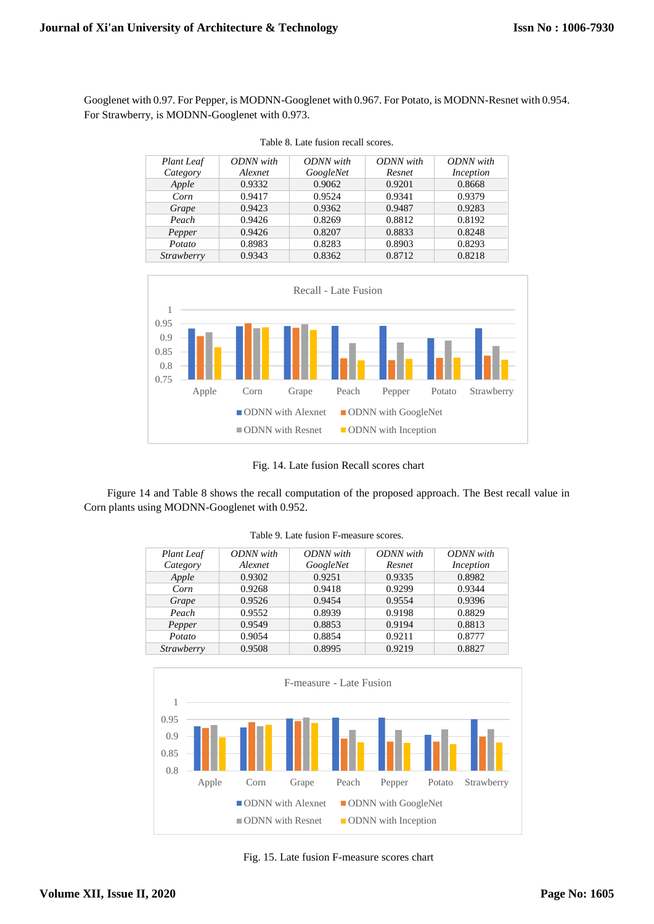Googlenet with 0.97. For Pepper, is MODNN-Googlenet with 0.967. For Potato, is MODNN-Resnet with 0.954. For Strawberry, is MODNN-Googlenet with 0.973.

| Plant Leaf        | ODNN with | ODNN with | ODNN with | ODNN with |
|-------------------|-----------|-----------|-----------|-----------|
| Category          | Alexnet   | GoogleNet | Resnet    | Inception |
| Apple             | 0.9332    | 0.9062    | 0.9201    | 0.8668    |
| Corn              | 0.9417    | 0.9524    | 0.9341    | 0.9379    |
| Grape             | 0.9423    | 0.9362    | 0.9487    | 0.9283    |
| Peach             | 0.9426    | 0.8269    | 0.8812    | 0.8192    |
| Pepper            | 0.9426    | 0.8207    | 0.8833    | 0.8248    |
| Potato            | 0.8983    | 0.8283    | 0.8903    | 0.8293    |
| <b>Strawberry</b> | 0.9343    | 0.8362    | 0.8712    | 0.8218    |





Fig. 14. Late fusion Recall scores chart

Figure 14 and Table 8 shows the recall computation of the proposed approach. The Best recall value in Corn plants using MODNN-Googlenet with 0.952.

| <b>Plant</b> Leaf | ODNN with | ODNN with | ODNN with | ODNN with |
|-------------------|-----------|-----------|-----------|-----------|
| Category          | Alexnet   | GoogleNet | Resnet    | Inception |
| Apple             | 0.9302    | 0.9251    | 0.9335    | 0.8982    |
| Corn              | 0.9268    | 0.9418    | 0.9299    | 0.9344    |
| Grape             | 0.9526    | 0.9454    | 0.9554    | 0.9396    |
| Peach             | 0.9552    | 0.8939    | 0.9198    | 0.8829    |
| Pepper            | 0.9549    | 0.8853    | 0.9194    | 0.8813    |
| Potato            | 0.9054    | 0.8854    | 0.9211    | 0.8777    |
| <b>Strawberry</b> | 0.9508    | 0.8995    | 0.9219    | 0.8827    |

Table 9. Late fusion F-measure scores.



Fig. 15. Late fusion F-measure scores chart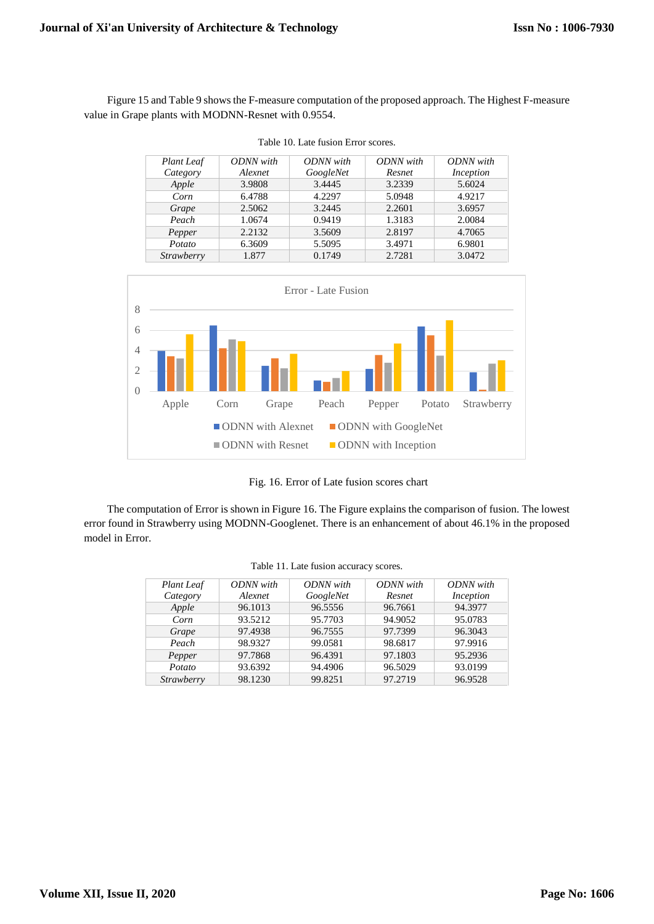Figure 15 and Table 9 shows the F-measure computation of the proposed approach. The Highest F-measure value in Grape plants with MODNN-Resnet with 0.9554.

| <b>Plant</b> Leaf | ODNN with | ODNN with | ODNN with | ODNN with |
|-------------------|-----------|-----------|-----------|-----------|
| Category          | Alexnet   | GoogleNet | Resnet    | Inception |
| Apple             | 3.9808    | 3.4445    | 3.2339    | 5.6024    |
| Corn              | 6.4788    | 4.2297    | 5.0948    | 4.9217    |
| Grape             | 2.5062    | 3.2445    | 2.2601    | 3.6957    |
| Peach             | 1.0674    | 0.9419    | 1.3183    | 2.0084    |
| Pepper            | 2.2132    | 3.5609    | 2.8197    | 4.7065    |
| Potato            | 6.3609    | 5.5095    | 3.4971    | 6.9801    |
| <b>Strawberry</b> | 1.877     | 0.1749    | 2.7281    | 3.0472    |





Fig. 16. Error of Late fusion scores chart

The computation of Error is shown in Figure 16. The Figure explains the comparison of fusion. The lowest error found in Strawberry using MODNN-Googlenet. There is an enhancement of about 46.1% in the proposed model in Error.

| <b>Plant</b> Leaf | ODNN with | ODNN with | ODNN with | ODNN with |
|-------------------|-----------|-----------|-----------|-----------|
| Category          | Alexnet   | GoogleNet | Resnet    | Inception |
| Apple             | 96.1013   | 96.5556   | 96.7661   | 94.3977   |
| Corn              | 93.5212   | 95.7703   | 94.9052   | 95.0783   |
| Grape             | 97.4938   | 96.7555   | 97.7399   | 96.3043   |
| Peach             | 98.9327   | 99.0581   | 98.6817   | 97.9916   |
| Pepper            | 97.7868   | 96.4391   | 97.1803   | 95.2936   |
| Potato            | 93.6392   | 94.4906   | 96.5029   | 93.0199   |
| <b>Strawberry</b> | 98.1230   | 99.8251   | 97.2719   | 96.9528   |

|  |  | Table 11. Late fusion accuracy scores. |  |
|--|--|----------------------------------------|--|
|  |  |                                        |  |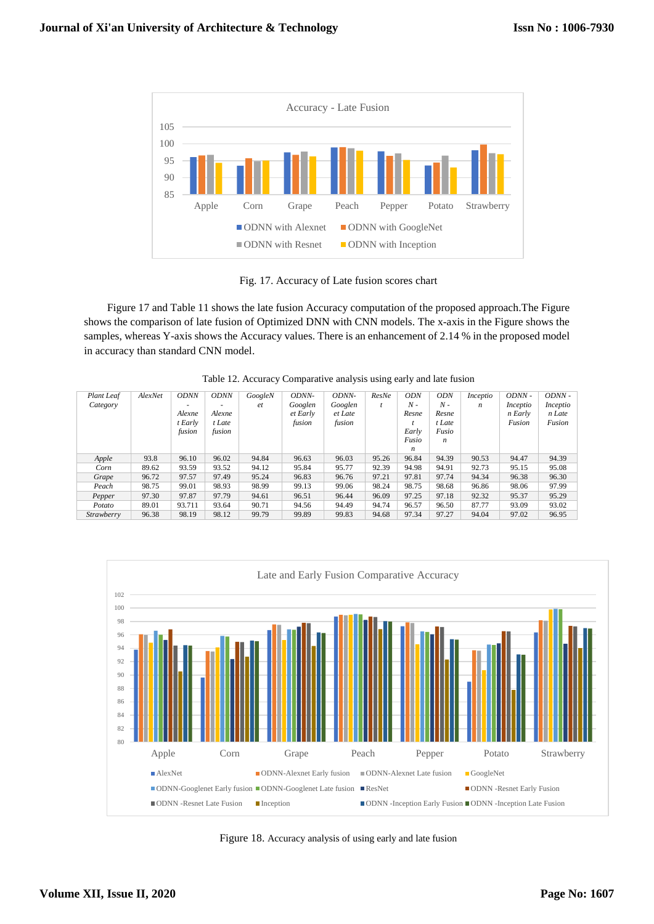

Fig. 17. Accuracy of Late fusion scores chart

Figure 17 and Table 11 shows the late fusion Accuracy computation of the proposed approach.The Figure shows the comparison of late fusion of Optimized DNN with CNN models. The x-axis in the Figure shows the samples, whereas Y-axis shows the Accuracy values. There is an enhancement of 2.14 % in the proposed model in accuracy than standard CNN model.

| Plant Leaf<br>Category | AlexNet | <b>ODNN</b><br>$\overline{\phantom{a}}$<br>Alexne<br>t Early<br>fusion | <b>ODNN</b><br>Alexne<br>t Late<br>fusion | GoogleN<br>et | ODNN-<br>Googlen<br>et Early<br>fusion | <i>ODNN-</i><br>Googlen<br>et Late<br>fusion | ResNe | <b>ODN</b><br>$N -$<br>Resne<br>Early<br>Fusio<br>n | <b>ODN</b><br>$N -$<br>Resne<br>t Late<br>Fusio<br>n | Inceptio<br>n | ODNN -<br>Inceptio<br>n Early<br>Fusion | ODNN -<br>Inceptio<br>n Late<br>Fusion |
|------------------------|---------|------------------------------------------------------------------------|-------------------------------------------|---------------|----------------------------------------|----------------------------------------------|-------|-----------------------------------------------------|------------------------------------------------------|---------------|-----------------------------------------|----------------------------------------|
| Apple                  | 93.8    | 96.10                                                                  | 96.02                                     | 94.84         | 96.63                                  | 96.03                                        | 95.26 | 96.84                                               | 94.39                                                | 90.53         | 94.47                                   | 94.39                                  |
| Corn                   | 89.62   | 93.59                                                                  | 93.52                                     | 94.12         | 95.84                                  | 95.77                                        | 92.39 | 94.98                                               | 94.91                                                | 92.73         | 95.15                                   | 95.08                                  |
| Grape                  | 96.72   | 97.57                                                                  | 97.49                                     | 95.24         | 96.83                                  | 96.76                                        | 97.21 | 97.81                                               | 97.74                                                | 94.34         | 96.38                                   | 96.30                                  |
| Peach                  | 98.75   | 99.01                                                                  | 98.93                                     | 98.99         | 99.13                                  | 99.06                                        | 98.24 | 98.75                                               | 98.68                                                | 96.86         | 98.06                                   | 97.99                                  |
| Pepper                 | 97.30   | 97.87                                                                  | 97.79                                     | 94.61         | 96.51                                  | 96.44                                        | 96.09 | 97.25                                               | 97.18                                                | 92.32         | 95.37                                   | 95.29                                  |
| Potato                 | 89.01   | 93.711                                                                 | 93.64                                     | 90.71         | 94.56                                  | 94.49                                        | 94.74 | 96.57                                               | 96.50                                                | 87.77         | 93.09                                   | 93.02                                  |
| Strawberry             | 96.38   | 98.19                                                                  | 98.12                                     | 99.79         | 99.89                                  | 99.83                                        | 94.68 | 97.34                                               | 97.27                                                | 94.04         | 97.02                                   | 96.95                                  |

Table 12. Accuracy Comparative analysis using early and late fusion



Figure 18. Accuracy analysis of using early and late fusion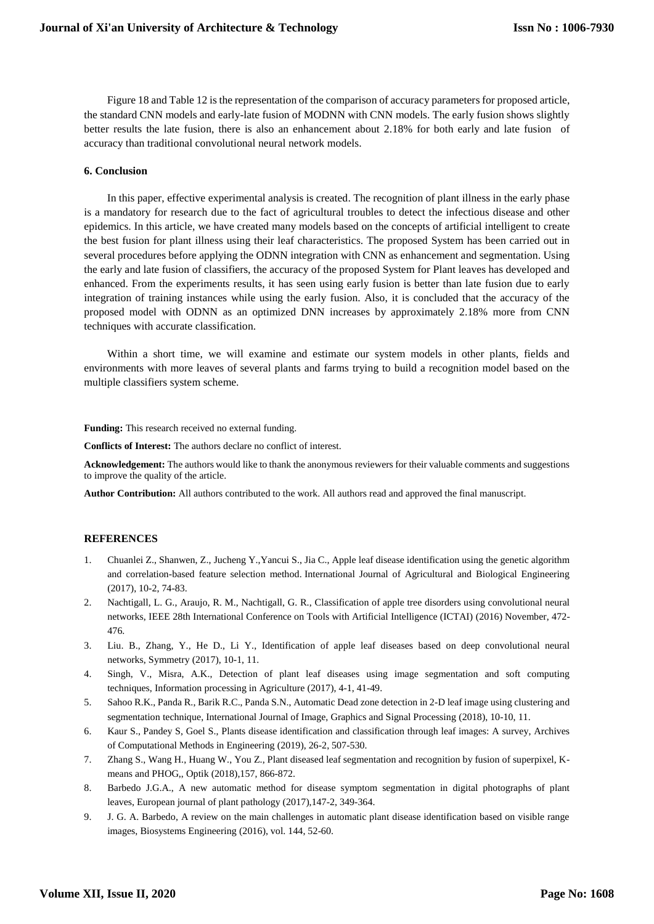Figure 18 and Table 12 is the representation of the comparison of accuracy parameters for proposed article, the standard CNN models and early-late fusion of MODNN with CNN models. The early fusion shows slightly better results the late fusion, there is also an enhancement about 2.18% for both early and late fusion of accuracy than traditional convolutional neural network models.

## **6. Conclusion**

In this paper, effective experimental analysis is created. The recognition of plant illness in the early phase is a mandatory for research due to the fact of agricultural troubles to detect the infectious disease and other epidemics. In this article, we have created many models based on the concepts of artificial intelligent to create the best fusion for plant illness using their leaf characteristics. The proposed System has been carried out in several procedures before applying the ODNN integration with CNN as enhancement and segmentation. Using the early and late fusion of classifiers, the accuracy of the proposed System for Plant leaves has developed and enhanced. From the experiments results, it has seen using early fusion is better than late fusion due to early integration of training instances while using the early fusion. Also, it is concluded that the accuracy of the proposed model with ODNN as an optimized DNN increases by approximately 2.18% more from CNN techniques with accurate classification.

Within a short time, we will examine and estimate our system models in other plants, fields and environments with more leaves of several plants and farms trying to build a recognition model based on the multiple classifiers system scheme.

**Funding:** This research received no external funding.

**Conflicts of Interest:** The authors declare no conflict of interest.

**Acknowledgement:** The authors would like to thank the anonymous reviewers for their valuable comments and suggestions to improve the quality of the article.

**Author Contribution:** All authors contributed to the work. All authors read and approved the final manuscript.

# **REFERENCES**

- 1. Chuanlei Z., Shanwen, Z., Jucheng Y.,Yancui S., Jia C., Apple leaf disease identification using the genetic algorithm and correlation-based feature selection method. International Journal of Agricultural and Biological Engineering (2017), 10-2, 74-83.
- 2. Nachtigall, L. G., Araujo, R. M., Nachtigall, G. R., Classification of apple tree disorders using convolutional neural networks, IEEE 28th International Conference on Tools with Artificial Intelligence (ICTAI) (2016) November, 472- 476.
- 3. Liu. B., Zhang, Y., He D., Li Y., Identification of apple leaf diseases based on deep convolutional neural networks, Symmetry (2017), 10-1, 11.
- 4. Singh, V., Misra, A.K., Detection of plant leaf diseases using image segmentation and soft computing techniques, Information processing in Agriculture (2017), 4-1, 41-49.
- 5. Sahoo R.K., Panda R., Barik R.C., Panda S.N., Automatic Dead zone detection in 2-D leaf image using clustering and segmentation technique, International Journal of Image, Graphics and Signal Processing (2018), 10-10, 11.
- 6. Kaur S., Pandey S, Goel S., Plants disease identification and classification through leaf images: A survey, Archives of Computational Methods in Engineering (2019), 26-2, 507-530.
- 7. Zhang S., Wang H., Huang W., You Z., Plant diseased leaf segmentation and recognition by fusion of superpixel, Kmeans and PHOG,, Optik (2018),157, 866-872.
- 8. Barbedo J.G.A., A new automatic method for disease symptom segmentation in digital photographs of plant leaves, European journal of plant pathology (2017),147-2, 349-364.
- 9. J. G. A. Barbedo, A review on the main challenges in automatic plant disease identification based on visible range images, Biosystems Engineering (2016), vol. 144, 52-60.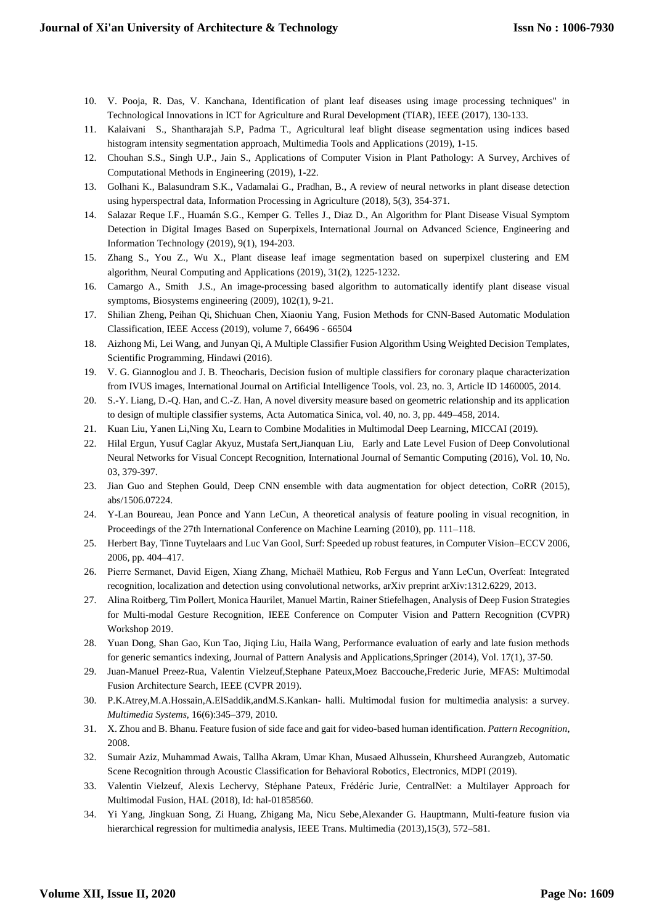- 10. V. Pooja, R. Das, V. Kanchana, Identification of plant leaf diseases using image processing techniques" in Technological Innovations in ICT for Agriculture and Rural Development (TIAR), IEEE (2017), 130-133.
- 11. Kalaivani S., Shantharajah S.P, Padma T., Agricultural leaf blight disease segmentation using indices based histogram intensity segmentation approach, Multimedia Tools and Applications (2019), 1-15.
- 12. Chouhan S.S., Singh U.P., Jain S., Applications of Computer Vision in Plant Pathology: A Survey, Archives of Computational Methods in Engineering (2019), 1-22.
- 13. Golhani K., Balasundram S.K., Vadamalai G., Pradhan, B., A review of neural networks in plant disease detection using hyperspectral data, Information Processing in Agriculture (2018), 5(3), 354-371.
- 14. Salazar Reque I.F., Huamán S.G., Kemper G. Telles J., Diaz D., An Algorithm for Plant Disease Visual Symptom Detection in Digital Images Based on Superpixels, International Journal on Advanced Science, Engineering and Information Technology (2019), 9(1), 194-203.
- 15. Zhang S., You Z., Wu X., Plant disease leaf image segmentation based on superpixel clustering and EM algorithm, Neural Computing and Applications (2019), 31(2), 1225-1232.
- 16. Camargo A., Smith J.S., An image-processing based algorithm to automatically identify plant disease visual symptoms, Biosystems engineering (2009), 102(1), 9-21.
- 17. Shilian Zheng, Peihan Qi, Shichuan Chen, Xiaoniu Yang, Fusion Methods for CNN-Based Automatic Modulation Classification, IEEE Access (2019), volume 7, 66496 - 66504
- 18. Aizhong Mi, Lei Wang, and Junyan Qi, A Multiple Classifier Fusion Algorithm Using Weighted Decision Templates, Scientific Programming, Hindawi (2016).
- 19. V. G. Giannoglou and J. B. Theocharis, Decision fusion of multiple classifiers for coronary plaque characterization from IVUS images, International Journal on Artificial Intelligence Tools, vol. 23, no. 3, Article ID 1460005, 2014.
- 20. S.-Y. Liang, D.-Q. Han, and C.-Z. Han, A novel diversity measure based on geometric relationship and its application to design of multiple classifier systems, Acta Automatica Sinica, vol. 40, no. 3, pp. 449–458, 2014.
- 21. Kuan Liu, Yanen Li,Ning Xu, Learn to Combine Modalities in Multimodal Deep Learning, MICCAI (2019).
- 22. Hilal Ergun, Yusuf Caglar Akyuz, Mustafa Sert,Jianquan Liu, Early and Late Level Fusion of Deep Convolutional Neural Networks for Visual Concept Recognition, International Journal of Semantic Computing (2016), Vol. 10, No. 03, 379-397.
- 23. Jian Guo and Stephen Gould, Deep CNN ensemble with data augmentation for object detection, CoRR (2015), abs/1506.07224.
- 24. Y-Lan Boureau, Jean Ponce and Yann LeCun, A theoretical analysis of feature pooling in visual recognition, in Proceedings of the 27th International Conference on Machine Learning (2010), pp. 111–118.
- 25. Herbert Bay, Tinne Tuytelaars and Luc Van Gool, Surf: Speeded up robust features, in Computer Vision–ECCV 2006, 2006, pp. 404–417.
- 26. Pierre Sermanet, David Eigen, Xiang Zhang, Michaël Mathieu, Rob Fergus and Yann LeCun, Overfeat: Integrated recognition, localization and detection using convolutional networks, arXiv preprint arXiv:1312.6229, 2013.
- 27. Alina Roitberg, Tim Pollert, Monica Haurilet, Manuel Martin, Rainer Stiefelhagen, Analysis of Deep Fusion Strategies for Multi-modal Gesture Recognition, IEEE Conference on Computer Vision and Pattern Recognition (CVPR) Workshop 2019.
- 28. Yuan Dong, Shan Gao, Kun Tao, Jiqing Liu, Haila Wang, Performance evaluation of early and late fusion methods for generic semantics indexing, Journal of Pattern Analysis and Applications,Springer (2014), Vol. 17(1), 37-50.
- 29. Juan-Manuel Preez-Rua, Valentin Vielzeuf,Stephane Pateux,Moez Baccouche,Frederic Jurie, MFAS: Multimodal Fusion Architecture Search, IEEE (CVPR 2019).
- 30. P.K.Atrey,M.A.Hossain,A.ElSaddik,andM.S.Kankan- halli. Multimodal fusion for multimedia analysis: a survey. *Multimedia Systems*, 16(6):345–379, 2010.
- 31. X. Zhou and B. Bhanu. Feature fusion of side face and gait for video-based human identification. *Pattern Recognition*, 2008.
- 32. Sumair Aziz, Muhammad Awais, Tallha Akram, Umar Khan, Musaed Alhussein, Khursheed Aurangzeb, Automatic Scene Recognition through Acoustic Classification for Behavioral Robotics, Electronics, MDPI (2019).
- 33. Valentin Vielzeuf, Alexis Lechervy, Stéphane Pateux, Frédéric Jurie, CentralNet: a Multilayer Approach for Multimodal Fusion, HAL (2018), Id: hal-01858560.
- 34. Yi Yang, Jingkuan Song, Zi Huang, Zhigang Ma, Nicu Sebe,Alexander G. Hauptmann, Multi-feature fusion via hierarchical regression for multimedia analysis, IEEE Trans. Multimedia (2013),15(3), 572–581.